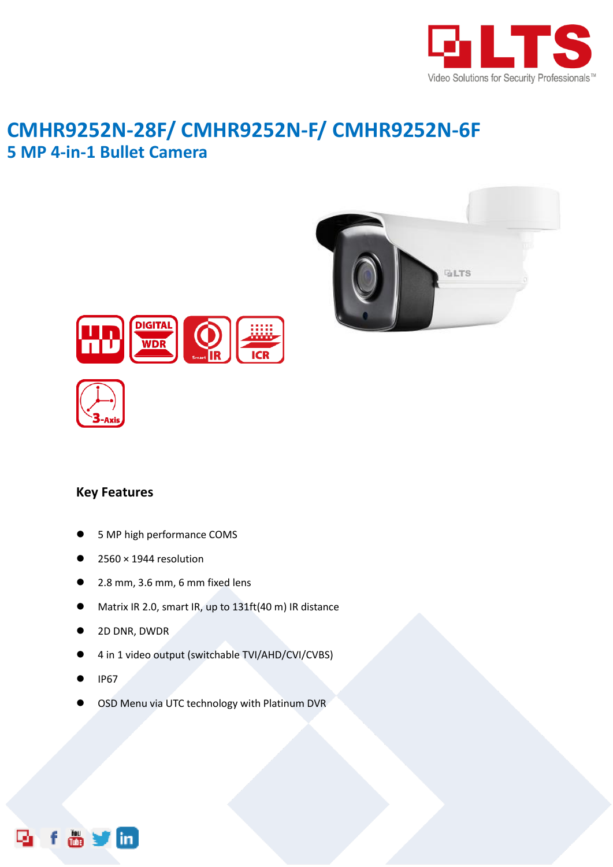

## **CMHR9252N-28F/ CMHR9252N-F/ CMHR9252N-6F 5 MP 4-in-1 Bullet Camera**







## **Key Features**

- 5 MP high performance COMS
- 2560 × 1944 resolution
- 2.8 mm, 3.6 mm, 6 mm fixed lens
- Matrix IR 2.0, smart IR, up to 131ft(40 m) IR distance
- 2D DNR, DWDR
- 4 in 1 video output (switchable TVI/AHD/CVI/CVBS)
- IP67
- OSD Menu via UTC technology with Platinum DVR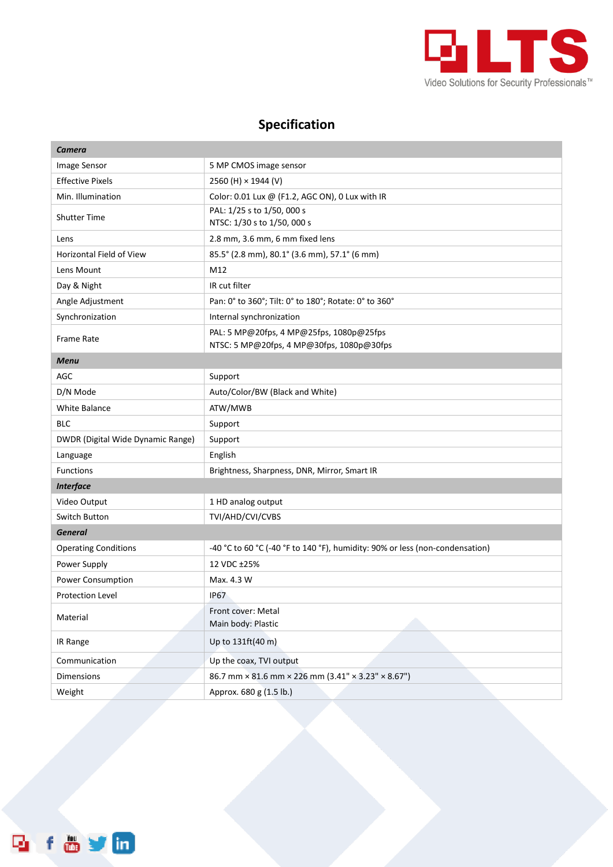

## **Specification**

| <b>Camera</b>                     |                                                                                       |
|-----------------------------------|---------------------------------------------------------------------------------------|
| Image Sensor                      | 5 MP CMOS image sensor                                                                |
| <b>Effective Pixels</b>           | 2560 (H) $\times$ 1944 (V)                                                            |
| Min. Illumination                 | Color: 0.01 Lux @ (F1.2, AGC ON), 0 Lux with IR                                       |
| <b>Shutter Time</b>               | PAL: 1/25 s to 1/50, 000 s                                                            |
|                                   | NTSC: 1/30 s to 1/50, 000 s                                                           |
| Lens                              | 2.8 mm, 3.6 mm, 6 mm fixed lens                                                       |
| Horizontal Field of View          | 85.5° (2.8 mm), 80.1° (3.6 mm), 57.1° (6 mm)                                          |
| Lens Mount                        | M12                                                                                   |
| Day & Night                       | IR cut filter                                                                         |
| Angle Adjustment                  | Pan: 0° to 360°; Tilt: 0° to 180°; Rotate: 0° to 360°                                 |
| Synchronization                   | Internal synchronization                                                              |
| Frame Rate                        | PAL: 5 MP@20fps, 4 MP@25fps, 1080p@25fps<br>NTSC: 5 MP@20fps, 4 MP@30fps, 1080p@30fps |
| <b>Menu</b>                       |                                                                                       |
| AGC                               | Support                                                                               |
| D/N Mode                          | Auto/Color/BW (Black and White)                                                       |
| <b>White Balance</b>              | ATW/MWB                                                                               |
| <b>BLC</b>                        | Support                                                                               |
| DWDR (Digital Wide Dynamic Range) | Support                                                                               |
| Language                          | English                                                                               |
| <b>Functions</b>                  | Brightness, Sharpness, DNR, Mirror, Smart IR                                          |
| <b>Interface</b>                  |                                                                                       |
| Video Output                      | 1 HD analog output                                                                    |
| Switch Button                     | TVI/AHD/CVI/CVBS                                                                      |
| <b>General</b>                    |                                                                                       |
| <b>Operating Conditions</b>       | -40 °C to 60 °C (-40 °F to 140 °F), humidity: 90% or less (non-condensation)          |
| Power Supply                      | 12 VDC ±25%                                                                           |
| Power Consumption                 | Max. 4.3 W                                                                            |
| <b>Protection Level</b>           | <b>IP67</b>                                                                           |
| Material                          | Front cover: Metal<br>Main body: Plastic                                              |
| IR Range                          | Up to 131ft(40 m)                                                                     |
| Communication                     | Up the coax, TVI output                                                               |
| <b>Dimensions</b>                 | 86.7 mm × 81.6 mm × 226 mm (3.41" × 3.23" × 8.67")                                    |
| Weight                            | Approx. 680 g (1.5 lb.)                                                               |

f & y m D,